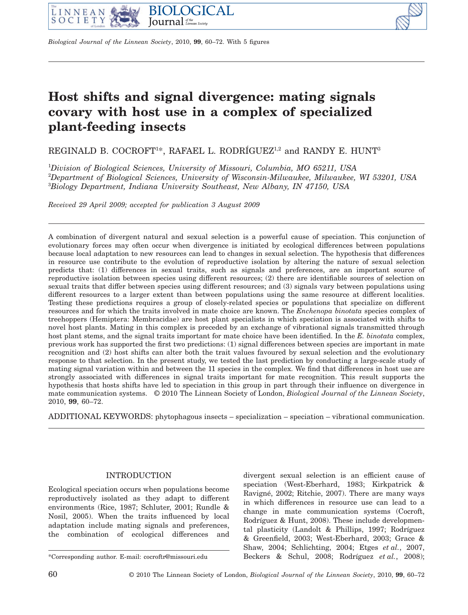



*Biological Journal of the Linnean Society*, 2010, **99**, 60–72. With 5 figures

# **Host shifts and signal divergence: mating signals covary with host use in a complex of specialized plant-feeding insects**

REGINALD B. COCROFT<sup>1\*</sup>, RAFAEL L. RODRÍGUEZ<sup>1,2</sup> and RANDY E. HUNT<sup>3</sup>

1 *Division of Biological Sciences, University of Missouri, Columbia, MO 65211, USA* 2 *Department of Biological Sciences, University of Wisconsin-Milwaukee, Milwaukee, WI 53201, USA* 3 *Biology Department, Indiana University Southeast, New Albany, IN 47150, USA*

*Received 29 April 2009; accepted for publication 3 August 2009* 

A combination of divergent natural and sexual selection is a powerful cause of speciation. This conjunction of evolutionary forces may often occur when divergence is initiated by ecological differences between populations because local adaptation to new resources can lead to changes in sexual selection. The hypothesis that differences in resource use contribute to the evolution of reproductive isolation by altering the nature of sexual selection predicts that: (1) differences in sexual traits, such as signals and preferences, are an important source of reproductive isolation between species using different resources; (2) there are identifiable sources of selection on sexual traits that differ between species using different resources; and (3) signals vary between populations using different resources to a larger extent than between populations using the same resource at different localities. Testing these predictions requires a group of closely-related species or populations that specialize on different resources and for which the traits involved in mate choice are known. The *Enchenopa binotata* species complex of treehoppers (Hemiptera: Membracidae) are host plant specialists in which speciation is associated with shifts to novel host plants. Mating in this complex is preceded by an exchange of vibrational signals transmitted through host plant stems, and the signal traits important for mate choice have been identified. In the *E. binotata* complex, previous work has supported the first two predictions: (1) signal differences between species are important in mate recognition and (2) host shifts can alter both the trait values favoured by sexual selection and the evolutionary response to that selection. In the present study, we tested the last prediction by conducting a large-scale study of mating signal variation within and between the 11 species in the complex. We find that differences in host use are strongly associated with differences in signal traits important for mate recognition. This result supports the hypothesis that hosts shifts have led to speciation in this group in part through their influence on divergence in mate communication systems. © 2010 The Linnean Society of London, *Biological Journal of the Linnean Society*, 2010, **99**, 60–72.

ADDITIONAL KEYWORDS: phytophagous insects – specialization – speciation – vibrational communication.

## INTRODUCTION

Ecological speciation occurs when populations become reproductively isolated as they adapt to different environments (Rice, 1987; Schluter, 2001; Rundle & Nosil, 2005). When the traits influenced by local adaptation include mating signals and preferences, the combination of ecological differences and

divergent sexual selection is an efficient cause of speciation (West-Eberhard, 1983; Kirkpatrick & Ravigné, 2002; Ritchie, 2007). There are many ways in which differences in resource use can lead to a change in mate communication systems (Cocroft, Rodríguez & Hunt, 2008). These include developmental plasticity (Landolt & Phillips, 1997; Rodríguez & Greenfield, 2003; West-Eberhard, 2003; Grace & Shaw, 2004; Schlichting, 2004; Etges *et al.*, 2007, \*Corresponding author. E-mail: cocroftr@missouri.edu Beckers & Schul, 2008; Rodríguez *et al.*, 2008);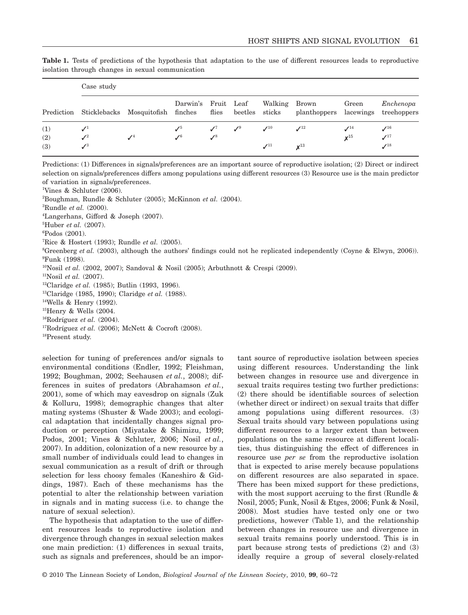|     | Case study      |                                              |                 |                 |                                 |                                   |                                                   |                    |                    |  |
|-----|-----------------|----------------------------------------------|-----------------|-----------------|---------------------------------|-----------------------------------|---------------------------------------------------|--------------------|--------------------|--|
|     |                 | Prediction Sticklebacks Mosquitofish finches |                 | flies           |                                 | Darwin's Fruit Leaf Walking Brown | beetles sticks planthoppers lacewings treehoppers | Green              | Enchenopa          |  |
| (1) | $\mathcal{N}^1$ |                                              | $\mathcal{J}^5$ |                 | $\mathcal{N}^7$ $\mathcal{N}^9$ | $\mathcal{N}^{10}$                | $\mathcal{N}^{12}$                                | $\mathcal{I}^{14}$ | $\mathcal{N}^{16}$ |  |
| (2) | $\mathcal{J}^2$ | $\mathcal{L}^4$                              | $\mathcal{N}^6$ | $\mathcal{S}^8$ |                                 |                                   |                                                   | $x^{15}$           | $\mathcal{N}^{17}$ |  |
| (3) | $\mathcal{J}^3$ |                                              |                 |                 |                                 | $\mathcal{N}^{11}$                | $x^{13}$                                          |                    | $\mathcal{I}^{18}$ |  |

**Table 1.** Tests of predictions of the hypothesis that adaptation to the use of different resources leads to reproductive isolation through changes in sexual communication

Predictions: (1) Differences in signals/preferences are an important source of reproductive isolation; (2) Direct or indirect selection on signals/preferences differs among populations using different resources (3) Resource use is the main predictor of variation in signals/preferences.

1 Vines & Schluter (2006).

2 Boughman, Rundle & Schluter (2005); McKinnon *et al.* (2004).

3 Rundle *et al.* (2000).

4 Langerhans, Gifford & Joseph (2007).

5 Huber *et al.* (2007).

6 Podos (2001).

7 Rice & Hostert (1993); Rundle *et al.* (2005).

<sup>8</sup>Greenberg *et al.* (2003), although the authors' findings could not he replicated independently (Coyne & Elwyn, 2006)). 9 Funk (1998).

<sup>10</sup>Nosil *et al.* (2002, 2007); Sandoval & Nosil (2005); Arbuthnott & Crespi (2009).

11Nosil *et al.* (2007).

12Claridge *et al.* (1985); Butlin (1993, 1996).

13Claridge (1985, 1990); Claridge *et al.* (1988).

14Wells & Henry (1992).

 $15$ Henry & Wells (2004.

16Rodríguez *et al.* (2004).

 $17$ Rodríguez *et al.* (2006); McNett & Cocroft (2008).

18Present study.

selection for tuning of preferences and/or signals to environmental conditions (Endler, 1992; Fleishman, 1992; Boughman, 2002; Seehausen *et al.*, 2008); differences in suites of predators (Abrahamson *et al.*, 2001), some of which may eavesdrop on signals (Zuk & Kolluru, 1998); demographic changes that alter mating systems (Shuster & Wade 2003); and ecological adaptation that incidentally changes signal production or perception (Miyatake & Shimizu, 1999; Podos, 2001; Vines & Schluter, 2006; Nosil *et al.*, 2007). In addition, colonization of a new resource by a small number of individuals could lead to changes in sexual communication as a result of drift or through selection for less choosy females (Kaneshiro & Giddings, 1987). Each of these mechanisms has the potential to alter the relationship between variation in signals and in mating success (i.e. to change the nature of sexual selection).

The hypothesis that adaptation to the use of different resources leads to reproductive isolation and divergence through changes in sexual selection makes one main prediction: (1) differences in sexual traits, such as signals and preferences, should be an important source of reproductive isolation between species using different resources. Understanding the link between changes in resource use and divergence in sexual traits requires testing two further predictions: (2) there should be identifiable sources of selection (whether direct or indirect) on sexual traits that differ among populations using different resources. (3) Sexual traits should vary between populations using different resources to a larger extent than between populations on the same resource at different localities, thus distinguishing the effect of differences in resource use *per se* from the reproductive isolation that is expected to arise merely because populations on different resources are also separated in space. There has been mixed support for these predictions, with the most support accruing to the first (Rundle  $\&$ Nosil, 2005; Funk, Nosil & Etges, 2006; Funk & Nosil, 2008). Most studies have tested only one or two predictions, however (Table 1), and the relationship between changes in resource use and divergence in sexual traits remains poorly understood. This is in part because strong tests of predictions (2) and (3) ideally require a group of several closely-related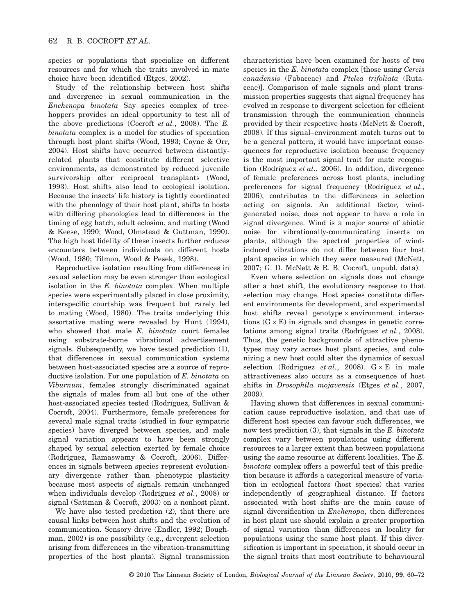species or populations that specialize on different resources and for which the traits involved in mate choice have been identified (Etges, 2002).

Study of the relationship between host shifts and divergence in sexual communication in the *Enchenopa binotata* Say species complex of treehoppers provides an ideal opportunity to test all of the above predictions (Cocroft *et al.*, 2008). The *E. binotata* complex is a model for studies of speciation through host plant shifts (Wood, 1993; Coyne & Orr, 2004). Host shifts have occurred between distantlyrelated plants that constitute different selective environments, as demonstrated by reduced juvenile survivorship after reciprocal transplants (Wood, 1993). Host shifts also lead to ecological isolation. Because the insects' life history is tightly coordinated with the phenology of their host plant, shifts to hosts with differing phenologies lead to differences in the timing of egg hatch, adult eclosion, and mating (Wood & Keese, 1990; Wood, Olmstead & Guttman, 1990). The high host fidelity of these insects further reduces encounters between individuals on different hosts (Wood, 1980; Tilmon, Wood & Pesek, 1998).

Reproductive isolation resulting from differences in sexual selection may be even stronger than ecological isolation in the *E. binotata* complex. When multiple species were experimentally placed in close proximity, interspecific courtship was frequent but rarely led to mating (Wood, 1980). The traits underlying this assortative mating were revealed by Hunt (1994), who showed that male *E. binotata* court females using substrate-borne vibrational advertisement signals. Subsequently, we have tested prediction (1), that differences in sexual communication systems between host-associated species are a source of reproductive isolation. For one population of *E. binotata* on *Viburnum*, females strongly discriminated against the signals of males from all but one of the other host-associated species tested (Rodríguez, Sullivan & Cocroft, 2004). Furthermore, female preferences for several male signal traits (studied in four sympatric species) have diverged between species, and male signal variation appears to have been strongly shaped by sexual selection exerted by female choice (Rodríguez, Ramaswamy & Cocroft, 2006). Differences in signals between species represent evolutionary divergence rather than phenotypic plasticity because most aspects of signals remain unchanged when individuals develop (Rodríguez *et al.*, 2008) or signal (Sattman & Cocroft, 2003) on a nonhost plant.

We have also tested prediction (2), that there are causal links between host shifts and the evolution of communication. Sensory drive (Endler, 1992; Boughman, 2002) is one possibility (e.g., divergent selection arising from differences in the vibration-transmitting properties of the host plants). Signal transmission characteristics have been examined for hosts of two species in the *E. binotata* complex [those using *Cercis canadensis* (Fabaceae) and *Ptelea trifoliata* (Rutaceae)]. Comparison of male signals and plant transmission properties suggests that signal frequency has evolved in response to divergent selection for efficient transmission through the communication channels provided by their respective hosts (McNett & Cocroft, 2008). If this signal–environment match turns out to be a general pattern, it would have important consequences for reproductive isolation because frequency is the most important signal trait for mate recognition (Rodríguez *et al.*, 2006). In addition, divergence of female preferences across host plants, including preferences for signal frequency (Rodríguez *et al.*, 2006), contributes to the differences in selection acting on signals. An additional factor, windgenerated noise, does not appear to have a role in signal divergence. Wind is a major source of abiotic noise for vibrationally-communicating insects on plants, although the spectral properties of windinduced vibrations do not differ between four host plant species in which they were measured (McNett, 2007; G. D. McNett & R. B. Cocroft, unpubl. data).

Even where selection on signals does not change after a host shift, the evolutionary response to that selection may change. Host species constitute different environments for development, and experimental host shifts reveal genotype  $\times$  environment interactions  $(G \times E)$  in signals and changes in genetic correlations among signal traits (Rodríguez *et al.*, 2008). Thus, the genetic backgrounds of attractive phenotypes may vary across host plant species, and colonizing a new host could alter the dynamics of sexual selection (Rodríguez *et al.*, 2008).  $G \times E$  in male attractiveness also occurs as a consequence of host shifts in *Drosophila mojavensis* (Etges *et al.*, 2007, 2009).

Having shown that differences in sexual communication cause reproductive isolation, and that use of different host species can favour such differences, we now test prediction (3), that signals in the *E. binotata* complex vary between populations using different resources to a larger extent than between populations using the same resource at different localities. The *E. binotata* complex offers a powerful test of this prediction because it affords a categorical measure of variation in ecological factors (host species) that varies independently of geographical distance. If factors associated with host shifts are the main cause of signal diversification in *Enchenopa*, then differences in host plant use should explain a greater proportion of signal variation than differences in locality for populations using the same host plant. If this diversification is important in speciation, it should occur in the signal traits that most contribute to behavioural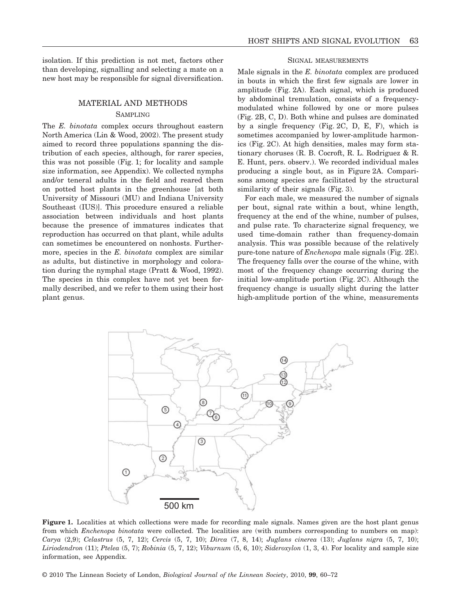#### MATERIAL AND METHODS

#### **SAMPLING**

The *E. binotata* complex occurs throughout eastern North America (Lin & Wood, 2002). The present study aimed to record three populations spanning the distribution of each species, although, for rarer species, this was not possible (Fig. 1; for locality and sample size information, see Appendix). We collected nymphs and/or teneral adults in the field and reared them on potted host plants in the greenhouse [at both University of Missouri (MU) and Indiana University Southeast (IUS)]. This procedure ensured a reliable association between individuals and host plants because the presence of immatures indicates that reproduction has occurred on that plant, while adults can sometimes be encountered on nonhosts. Furthermore, species in the *E. binotata* complex are similar as adults, but distinctive in morphology and coloration during the nymphal stage (Pratt & Wood, 1992). The species in this complex have not yet been formally described, and we refer to them using their host plant genus.

#### SIGNAL MEASUREMENTS

Male signals in the *E. binotata* complex are produced in bouts in which the first few signals are lower in amplitude (Fig. 2A). Each signal, which is produced by abdominal tremulation, consists of a frequencymodulated whine followed by one or more pulses (Fig. 2B, C, D). Both whine and pulses are dominated by a single frequency (Fig. 2C, D, E, F), which is sometimes accompanied by lower-amplitude harmonics (Fig. 2C). At high densities, males may form stationary choruses (R. B. Cocroft, R. L. Rodriguez & R. E. Hunt, pers. observ.). We recorded individual males producing a single bout, as in Figure 2A. Comparisons among species are facilitated by the structural similarity of their signals (Fig. 3).

For each male, we measured the number of signals per bout, signal rate within a bout, whine length, frequency at the end of the whine, number of pulses, and pulse rate. To characterize signal frequency, we used time-domain rather than frequency-domain analysis. This was possible because of the relatively pure-tone nature of *Enchenopa* male signals (Fig. 2E). The frequency falls over the course of the whine, with most of the frequency change occurring during the initial low-amplitude portion (Fig. 2C). Although the frequency change is usually slight during the latter high-amplitude portion of the whine, measurements



**Figure 1.** Localities at which collections were made for recording male signals. Names given are the host plant genus from which *Enchenopa binotata* were collected. The localities are (with numbers corresponding to numbers on map): *Carya* (2,9); *Celastrus* (5, 7, 12); *Cercis* (5, 7, 10); *Dirca* (7, 8, 14); *Juglans cinerea* (13); *Juglans nigra* (5, 7, 10); *Liriodendron* (11); *Ptelea* (5, 7); *Robinia* (5, 7, 12); *Viburnum* (5, 6, 10); *Sideroxylon* (1, 3, 4). For locality and sample size information, see Appendix.

© 2010 The Linnean Society of London, *Biological Journal of the Linnean Society*, 2010, **99**, 60–72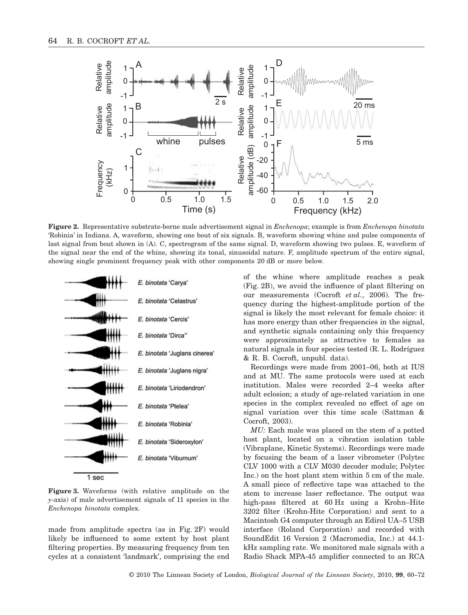

**Figure 2.** Representative substrate-borne male advertisement signal in *Enchenopa*; example is from *Enchenopa binotata* 'Robinia' in Indiana. A, waveform, showing one bout of six signals. B, waveform showing whine and pulse components of last signal from bout shown in (A). C, spectrogram of the same signal. D, waveform showing two pulses. E, waveform of the signal near the end of the whine, showing its tonal, sinusoidal nature. F, amplitude spectrum of the entire signal, showing single prominent frequency peak with other components 20 dB or more below.



**Figure 3.** Waveforms (with relative amplitude on the *y*-axis) of male advertisement signals of 11 species in the *Enchenopa binotata* complex.

made from amplitude spectra (as in Fig. 2F) would likely be influenced to some extent by host plant filtering properties. By measuring frequency from ten cycles at a consistent 'landmark', comprising the end

of the whine where amplitude reaches a peak (Fig. 2B), we avoid the influence of plant filtering on our measurements (Cocroft *et al.*, 2006). The frequency during the highest-amplitude portion of the signal is likely the most relevant for female choice: it has more energy than other frequencies in the signal, and synthetic signals containing only this frequency were approximately as attractive to females as natural signals in four species tested (R. L. Rodríguez & R. B. Cocroft, unpubl. data).

Recordings were made from 2001–06, both at IUS and at MU. The same protocols were used at each institution. Males were recorded 2–4 weeks after adult eclosion; a study of age-related variation in one species in the complex revealed no effect of age on signal variation over this time scale (Sattman & Cocroft, 2003).

*MU:* Each male was placed on the stem of a potted host plant, located on a vibration isolation table (Vibraplane, Kinetic Systems). Recordings were made by focusing the beam of a laser vibrometer (Polytec CLV 1000 with a CLV M030 decoder module; Polytec Inc.) on the host plant stem within 5 cm of the male. A small piece of reflective tape was attached to the stem to increase laser reflectance. The output was high-pass filtered at 60 Hz using a Krohn–Hite 3202 filter (Krohn-Hite Corporation) and sent to a Macintosh G4 computer through an Edirol UA–5 USB interface (Roland Corporation) and recorded with SoundEdit 16 Version 2 (Macromedia, Inc.) at 44.1 kHz sampling rate. We monitored male signals with a Radio Shack MPA-45 amplifier connected to an RCA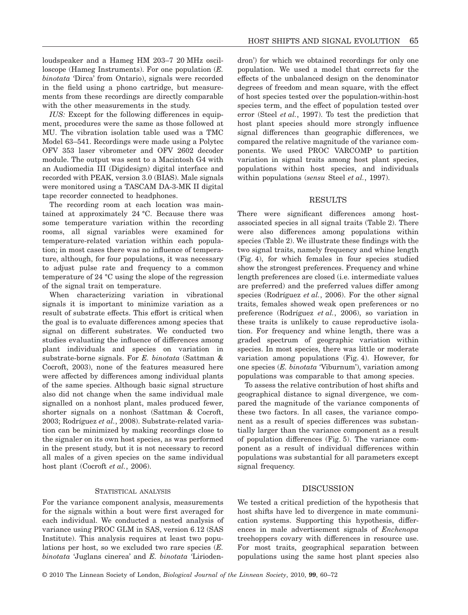loudspeaker and a Hameg HM 203–7 20 MHz oscilloscope (Hameg Instruments). For one population (*E. binotata* 'Dirca' from Ontario), signals were recorded in the field using a phono cartridge, but measurements from these recordings are directly comparable with the other measurements in the study.

*IUS:* Except for the following differences in equipment, procedures were the same as those followed at MU. The vibration isolation table used was a TMC Model 63–541. Recordings were made using a Polytec OFV 353 laser vibrometer and OFV 2602 decoder module. The output was sent to a Macintosh G4 with an Audiomedia III (Digidesign) digital interface and recorded with PEAK, version 3.0 (BIAS). Male signals were monitored using a TASCAM DA-3-MK II digital tape recorder connected to headphones.

The recording room at each location was maintained at approximately 24 °C. Because there was some temperature variation within the recording rooms, all signal variables were examined for temperature-related variation within each population; in most cases there was no influence of temperature, although, for four populations, it was necessary to adjust pulse rate and frequency to a common temperature of 24 °C using the slope of the regression of the signal trait on temperature.

When characterizing variation in vibrational signals it is important to minimize variation as a result of substrate effects. This effort is critical when the goal is to evaluate differences among species that signal on different substrates. We conducted two studies evaluating the influence of differences among plant individuals and species on variation in substrate-borne signals. For *E. binotata* (Sattman & Cocroft, 2003), none of the features measured here were affected by differences among individual plants of the same species. Although basic signal structure also did not change when the same individual male signalled on a nonhost plant, males produced fewer, shorter signals on a nonhost (Sattman & Cocroft, 2003; Rodríguez *et al.*, 2008). Substrate-related variation can be minimized by making recordings close to the signaler on its own host species, as was performed in the present study, but it is not necessary to record all males of a given species on the same individual host plant (Cocroft *et al.*, 2006).

#### STATISTICAL ANALYSIS

For the variance component analysis, measurements for the signals within a bout were first averaged for each individual. We conducted a nested analysis of variance using PROC GLM in SAS, version 6.12 (SAS Institute). This analysis requires at least two populations per host, so we excluded two rare species (*E. binotata* 'Juglans cinerea' and *E. binotata* 'Liriodendron') for which we obtained recordings for only one population. We used a model that corrects for the effects of the unbalanced design on the denominator degrees of freedom and mean square, with the effect of host species tested over the population-within-host species term, and the effect of population tested over error (Steel *et al.*, 1997). To test the prediction that host plant species should more strongly influence signal differences than geographic differences, we compared the relative magnitude of the variance components. We used PROC VARCOMP to partition variation in signal traits among host plant species, populations within host species, and individuals within populations (*sensu* Steel *et al.*, 1997).

#### RESULTS

There were significant differences among hostassociated species in all signal traits (Table 2). There were also differences among populations within species (Table 2). We illustrate these findings with the two signal traits, namely frequency and whine length (Fig. 4), for which females in four species studied show the strongest preferences. Frequency and whine length preferences are closed (i.e. intermediate values are preferred) and the preferred values differ among species (Rodríguez *et al.*, 2006). For the other signal traits, females showed weak open preferences or no preference (Rodríguez *et al.*, 2006), so variation in these traits is unlikely to cause reproductive isolation. For frequency and whine length, there was a graded spectrum of geographic variation within species. In most species, there was little or moderate variation among populations (Fig. 4). However, for one species (*E. binotata* 'Viburnum'), variation among populations was comparable to that among species.

To assess the relative contribution of host shifts and geographical distance to signal divergence, we compared the magnitude of the variance components of these two factors. In all cases, the variance component as a result of species differences was substantially larger than the variance component as a result of population differences (Fig. 5). The variance component as a result of individual differences within populations was substantial for all parameters except signal frequency.

### DISCUSSION

We tested a critical prediction of the hypothesis that host shifts have led to divergence in mate communication systems. Supporting this hypothesis, differences in male advertisement signals of *Enchenopa* treehoppers covary with differences in resource use. For most traits, geographical separation between populations using the same host plant species also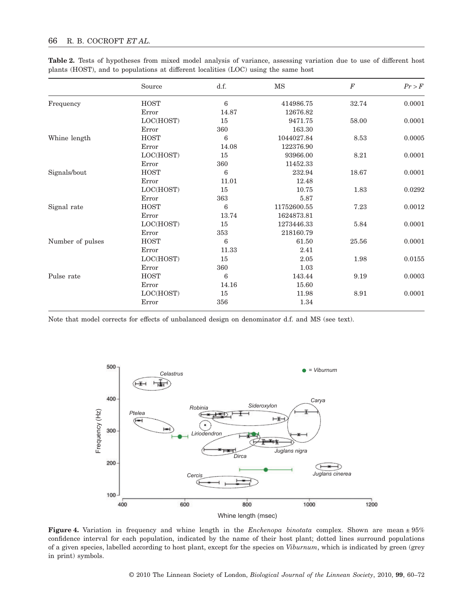|                  | Source                  | d.f.                                                              | MS          | $\boldsymbol{F}$ | Pr > F |
|------------------|-------------------------|-------------------------------------------------------------------|-------------|------------------|--------|
| Frequency        | <b>HOST</b>             | 6                                                                 | 414986.75   | 32.74            | 0.0001 |
|                  | Error                   | 14.87                                                             | 12676.82    |                  |        |
|                  | LOC(HOST)               | 15                                                                | 9471.75     | 58.00            | 0.0001 |
|                  | Error                   | 360                                                               | 163.30      |                  |        |
| Whine length     | <b>HOST</b>             | 6                                                                 | 1044027.84  | 8.53             | 0.0005 |
|                  | Error                   | 14.08                                                             | 122376.90   |                  |        |
|                  | LOC(HOST)               | 15<br>93966.00<br>8.21<br>360<br>11452.33<br>6<br>232.94<br>18.67 | 0.0001      |                  |        |
|                  | Error                   |                                                                   |             |                  |        |
| Signals/bout     | <b>HOST</b>             |                                                                   |             |                  | 0.0001 |
|                  | 12.48<br>Error<br>11.01 |                                                                   |             |                  |        |
|                  | LOC(HOST)               | 15                                                                | 10.75       | 1.83             | 0.0292 |
|                  | Error                   | 363                                                               | 5.87        |                  |        |
| Signal rate      | <b>HOST</b>             | 6                                                                 | 11752600.55 | 7.23             | 0.0012 |
|                  | Error                   | 13.74                                                             | 1624873.81  |                  |        |
|                  | LOC(HOST)               | 15                                                                | 1273446.33  | 5.84             | 0.0001 |
|                  | Error                   | 353                                                               | 218160.79   |                  |        |
| Number of pulses | <b>HOST</b>             | 6                                                                 | 61.50       | 25.56            | 0.0001 |
|                  | Error                   | 11.33                                                             | 2.41        |                  |        |
|                  | LOC(HOST)               | 15                                                                | 2.05        | 1.98             | 0.0155 |
|                  | Error                   | 360                                                               | 1.03        |                  |        |
| Pulse rate       | <b>HOST</b>             | 6                                                                 | 143.44      | 9.19             | 0.0003 |
|                  | Error                   | 14.16                                                             | 15.60       |                  |        |
|                  | LOC(HOST)               | 15                                                                | 11.98       | 8.91             | 0.0001 |
|                  | Error                   | 356                                                               | 1.34        |                  |        |

**Table 2.** Tests of hypotheses from mixed model analysis of variance, assessing variation due to use of different host plants (HOST), and to populations at different localities (LOC) using the same host

Note that model corrects for effects of unbalanced design on denominator d.f. and MS (see text).



**Figure 4.** Variation in frequency and whine length in the *Enchenopa binotata* complex. Shown are mean ± 95% confidence interval for each population, indicated by the name of their host plant; dotted lines surround populations of a given species, labelled according to host plant, except for the species on *Viburnum*, which is indicated by green (grey in print) symbols.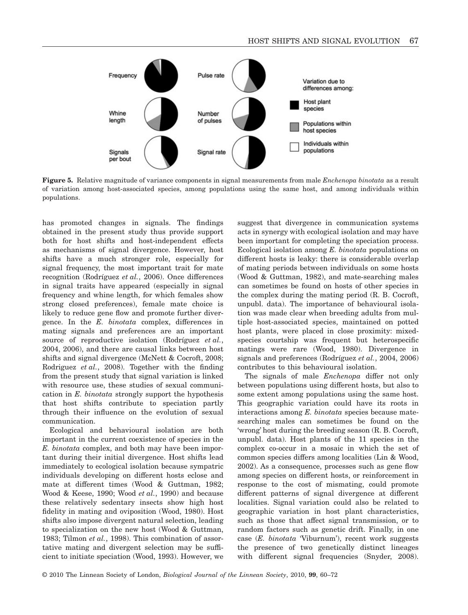

**Figure 5.** Relative magnitude of variance components in signal measurements from male *Enchenopa binotata* as a result of variation among host-associated species, among populations using the same host, and among individuals within populations.

has promoted changes in signals. The findings obtained in the present study thus provide support both for host shifts and host-independent effects as mechanisms of signal divergence. However, host shifts have a much stronger role, especially for signal frequency, the most important trait for mate recognition (Rodríguez *et al.*, 2006). Once differences in signal traits have appeared (especially in signal frequency and whine length, for which females show strong closed preferences), female mate choice is likely to reduce gene flow and promote further divergence. In the *E. binotata* complex, differences in mating signals and preferences are an important source of reproductive isolation (Rodríguez *et al.*, 2004, 2006), and there are causal links between host shifts and signal divergence (McNett & Cocroft, 2008; Rodriguez *et al.*, 2008). Together with the finding from the present study that signal variation is linked with resource use, these studies of sexual communication in *E. binotata* strongly support the hypothesis that host shifts contribute to speciation partly through their influence on the evolution of sexual communication.

Ecological and behavioural isolation are both important in the current coexistence of species in the *E. binotata* complex, and both may have been important during their initial divergence. Host shifts lead immediately to ecological isolation because sympatric individuals developing on different hosts eclose and mate at different times (Wood & Guttman, 1982; Wood & Keese, 1990; Wood *et al.*, 1990) and because these relatively sedentary insects show high host fidelity in mating and oviposition (Wood, 1980). Host shifts also impose divergent natural selection, leading to specialization on the new host (Wood & Guttman, 1983; Tilmon *et al.*, 1998). This combination of assortative mating and divergent selection may be sufficient to initiate speciation (Wood, 1993). However, we suggest that divergence in communication systems acts in synergy with ecological isolation and may have been important for completing the speciation process. Ecological isolation among *E. binotata* populations on different hosts is leaky: there is considerable overlap of mating periods between individuals on some hosts (Wood & Guttman, 1982), and mate-searching males can sometimes be found on hosts of other species in the complex during the mating period (R. B. Cocroft, unpubl. data). The importance of behavioural isolation was made clear when breeding adults from multiple host-associated species, maintained on potted host plants, were placed in close proximity: mixedspecies courtship was frequent but heterospecific matings were rare (Wood, 1980). Divergence in signals and preferences (Rodríguez *et al.*, 2004, 2006) contributes to this behavioural isolation.

The signals of male *Enchenopa* differ not only between populations using different hosts, but also to some extent among populations using the same host. This geographic variation could have its roots in interactions among *E. binotata* species because matesearching males can sometimes be found on the 'wrong' host during the breeding season (R. B. Cocroft, unpubl. data). Host plants of the 11 species in the complex co-occur in a mosaic in which the set of common species differs among localities (Lin & Wood, 2002). As a consequence, processes such as gene flow among species on different hosts, or reinforcement in response to the cost of mismating, could promote different patterns of signal divergence at different localities. Signal variation could also be related to geographic variation in host plant characteristics, such as those that affect signal transmission, or to random factors such as genetic drift. Finally, in one case (*E. binotata* 'Viburnum'), recent work suggests the presence of two genetically distinct lineages with different signal frequencies (Snyder, 2008).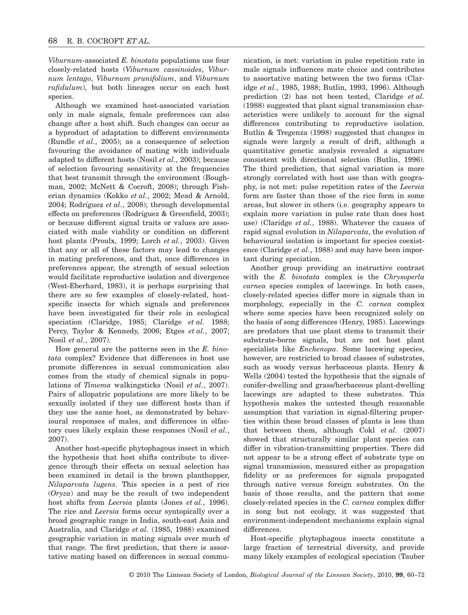*Viburnum*-associated *E. binotata* populations use four closely-related hosts (*Viburnum cassinoides*, *Viburnum lentago*, *Viburnum prunifolium*, and *Viburnum rufidulum*), but both lineages occur on each host species.

Although we examined host-associated variation only in male signals, female preferences can also change after a host shift. Such changes can occur as a byproduct of adaptation to different environments (Rundle *et al.*, 2005); as a consequence of selection favouring the avoidance of mating with individuals adapted to different hosts (Nosil *et al.*, 2003); because of selection favouring sensitivity at the frequencies that best transmit through the environment (Boughman, 2002; McNett & Cocroft, 2008); through Fisherian dynamics (Kokko *et al.*, 2002; Mead & Arnold, 2004; Rodríguez *et al.*, 2008); through developmental effects on preferences (Rodríguez & Greenfield, 2003); or because different signal traits or values are associated with male viability or condition on different host plants (Proulx, 1999; Lorch *et al.*, 2003). Given that any or all of these factors may lead to changes in mating preferences, and that, once differences in preferences appear, the strength of sexual selection would facilitate reproductive isolation and divergence (West-Eberhard, 1983), it is perhaps surprising that there are so few examples of closely-related, hostspecific insects for which signals and preferences have been investigated for their role in ecological speciation (Claridge, 1985; Claridge *et al.* 1988; Percy, Taylor & Kennedy, 2006; Etges *et al.*, 2007; Nosil *et al.*, 2007).

How general are the patterns seen in the *E. binotata* complex? Evidence that differences in host use promote differences in sexual communication also comes from the study of chemical signals in populations of *Timema* walkingsticks (Nosil *et al.*, 2007). Pairs of allopatric populations are more likely to be sexually isolated if they use different hosts than if they use the same host, as demonstrated by behavioural responses of males, and differences in olfactory cues likely explain these responses (Nosil *et al.*, 2007).

Another host-specific phytophagous insect in which the hypothesis that host shifts contribute to divergence through their effects on sexual selection has been examined in detail is the brown planthopper, *Nilaparvata lugens*. This species is a pest of rice (*Oryza*) and may be the result of two independent host shifts from *Leersia* plants (Jones *et al.*, 1996). The rice and *Leersia* forms occur syntopically over a broad geographic range in India, south-east Asia and Australia, and Claridge *et al.* (1985, 1988) examined geographic variation in mating signals over much of that range. The first prediction, that there is assortative mating based on differences in sexual communication, is met: variation in pulse repetition rate in male signals influences mate choice and contributes to assortative mating between the two forms (Claridge *et al.*, 1985, 1988; Butlin, 1993, 1996). Although prediction (2) has not been tested, Claridge *et al.* (1988) suggested that plant signal transmission characteristics were unlikely to account for the signal differences contributing to reproductive isolation. Butlin & Tregenza (1998) suggested that changes in signals were largely a result of drift, although a quantitative genetic analysis revealed a signature consistent with directional selection (Butlin, 1996). The third prediction, that signal variation is more strongly correlated with host use than with geography, is not met: pulse repetition rates of the *Leersia* form are faster than those of the rice form in some areas, but slower in others (i.e. geography appears to explain more variation in pulse rate than does host use) (Claridge *et al.*, 1988). Whatever the causes of rapid signal evolution in *Nilaparvata*, the evolution of behavioural isolation is important for species coexistence (Claridge *et al.*, 1988) and may have been important during speciation.

Another group providing an instructive contrast with the *E. binotata* complex is the *Chrysoperla carnea* species complex of lacewings. In both cases, closely-related species differ more in signals than in morphology, especially in the *C. carnea* complex where some species have been recognized solely on the basis of song differences (Henry, 1985). Lacewings are predators that use plant stems to transmit their substrate-borne signals, but are not host plant specialists like *Enchenopa*. Some lacewing species, however, are restricted to broad classes of substrates, such as woody versus herbaceous plants. Henry & Wells (2004) tested the hypothesis that the signals of conifer-dwelling and grass/herbaceous plant-dwelling lacewings are adapted to these substrates. This hypothesis makes the untested though reasonable assumption that variation in signal-filtering properties within these broad classes of plants is less than that between them, although Cokl *et al.* (2007) showed that structurally similar plant species can differ in vibration-transmitting properties. There did not appear to be a strong effect of substrate type on signal transmission, measured either as propagation fidelity or as preferences for signals propagated through native versus foreign substrates. On the basis of those results, and the pattern that some closely-related species in the *C. carnea* complex differ in song but not ecology, it was suggested that environment-independent mechanisms explain signal differences.

Host-specific phytophagous insects constitute a large fraction of terrestrial diversity, and provide many likely examples of ecological speciation (Tauber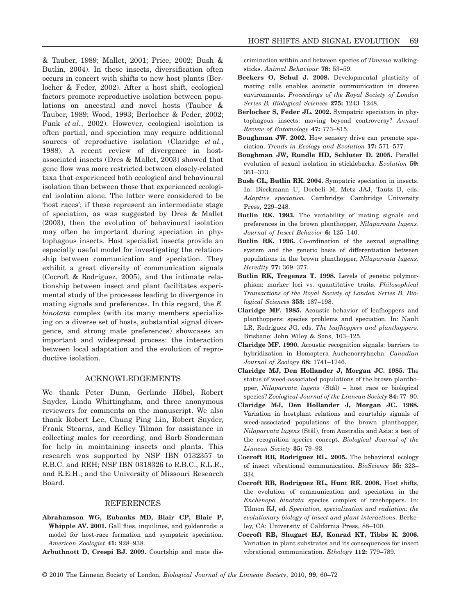& Tauber, 1989; Mallet, 2001; Price, 2002; Bush & Butlin, 2004). In these insects, diversification often occurs in concert with shifts to new host plants (Berlocher & Feder, 2002). After a host shift, ecological factors promote reproductive isolation between populations on ancestral and novel hosts (Tauber & Tauber, 1989; Wood, 1993; Berlocher & Feder, 2002; Funk *et al.*, 2002). However, ecological isolation is often partial, and speciation may require additional sources of reproductive isolation (Claridge *et al.*, 1988). A recent review of divergence in hostassociated insects (Dres & Mallet, 2003) showed that gene flow was more restricted between closely-related taxa that experienced both ecological and behavioural isolation than between those that experienced ecological isolation alone. The latter were considered to be 'host races'; if these represent an intermediate stage of speciation, as was suggested by Dres & Mallet (2003), then the evolution of behavioural isolation may often be important during speciation in phytophagous insects. Host specialist insects provide an especially useful model for investigating the relationship between communication and speciation. They exhibit a great diversity of communication signals (Cocroft & Rodríguez, 2005), and the intimate relationship between insect and plant facilitates experimental study of the processes leading to divergence in mating signals and preferences. In this regard, the *E. binotata* complex (with its many members specializing on a diverse set of hosts, substantial signal divergence, and strong mate preferences) showcases an important and widespread process: the interaction between local adaptation and the evolution of reproductive isolation.

#### ACKNOWLEDGEMENTS

We thank Peter Dunn, Gerlinde Höbel, Robert Snyder, Linda Whittingham, and three anonymous reviewers for comments on the manuscript. We also thank Robert Lee, Chung Ping Lin, Robert Snyder, Frank Stearns, and Kelley Tilmon for assistance in collecting males for recording, and Barb Sonderman for help in maintaining insects and plants. This research was supported by NSF IBN 0132357 to R.B.C. and REH; NSF IBN 0318326 to R.B.C., R.L.R., and R.E.H.; and the University of Missouri Research Board.

#### REFERENCES

- **Abrahamson WG, Eubanks MD, Blair CP, Blair P,** Whipple AV. 2001. Gall flies, inquilines, and goldenrods: a model for host-race formation and sympatric speciation. *American Zoologist* **41:** 928–938.
- **Arbuthnott D, Crespi BJ. 2009.** Courtship and mate dis-

crimination within and between species of *Timema* walkingsticks. *Animal Behaviour* **78:** 53–59.

- **Beckers O, Schul J. 2008.** Developmental plasticity of mating calls enables acoustic communication in diverse environments. *Proceedings of the Royal Society of London Series B, Biological Sciences* **275:** 1243–1248.
- **Berlocher S, Feder JL. 2002.** Sympatric speciation in phytophagous insects: moving beyond controversy? *Annual Review of Entomology* **47:** 773–815.
- **Boughman JW. 2002.** How sensory drive can promote speciation. *Trends in Ecology and Evolution* **17:** 571–577.
- **Boughman JW, Rundle HD, Schluter D. 2005.** Parallel evolution of sexual isolation in sticklebacks. *Evolution* **59:** 361–373.
- **Bush GL, Butlin RK. 2004.** Sympatric speciation in insects. In: Dieckmann U, Doebeli M, Metz JAJ, Tautz D, eds. *Adaptive speciation*. Cambridge: Cambridge University Press, 229–248.
- **Butlin RK. 1993.** The variability of mating signals and preferences in the brown planthopper, *Nilaparvata lugens*. *Journal of Insect Behavior* **6:** 125–140.
- **Butlin RK. 1996.** Co-ordination of the sexual signalling system and the genetic basis of differentiation between populations in the brown planthopper, *Nilaparvata lugens*. *Heredity* **77:** 369–377.
- **Butlin RK, Tregenza T. 1998.** Levels of genetic polymorphism: marker loci vs. quantitative traits. *Philosophical Transactions of the Royal Society of London Series B, Biological Sciences* **353:** 187–198.
- **Claridge MF. 1985.** Acoustic behavior of leafhoppers and planthoppers: species problems and speciation. In: Nault LR, Rodríguez JG, eds. *The leafhoppers and planthoppers*. Brisbane: John Wiley & Sons, 103–125.
- **Claridge MF. 1990.** Acoustic recognition signals: barriers to hybridization in Homoptera Auchenorryhncha. *Canadian Journal of Zoology* **68:** 1741–1746.
- **Claridge MJ, Den Hollander J, Morgan JC. 1985.** The status of weed-associated populations of the brown planthopper, *Nilaparvata lugens* (Stål) – host race or biological species? *Zoological Journal of the Linnean Society* **84:** 77–90.
- **Claridge MJ, Den Hollander J, Morgan JC. 1988.** Variation in hostplant relations and courtship signals of weed-associated populations of the brown planthopper, *Nilaparvata lugens* (Stål), from Australia and Asia: a test of the recognition species concept. *Biological Journal of the Linnean Society* **35:** 79–93.
- **Cocroft RB, Rodríguez RL. 2005.** The behavioral ecology of insect vibrational communication. *BioScience* **55:** 323– 334.
- **Cocroft RB, Rodríguez RL, Hunt RE. 2008.** Host shifts, the evolution of communication and speciation in the *Enchenopa binotata* species complex of treehoppers. In: Tilmon KJ, ed. *Speciation, specialization and radiation: the evolutionary biology of insect and plant interactions*. Berkeley, CA: University of California Press, 88–100.
- **Cocroft RB, Shugart HJ, Konrad KT, Tibbs K. 2006.** Variation in plant substrates and its consequences for insect vibrational communication. *Ethology* **112:** 779–789.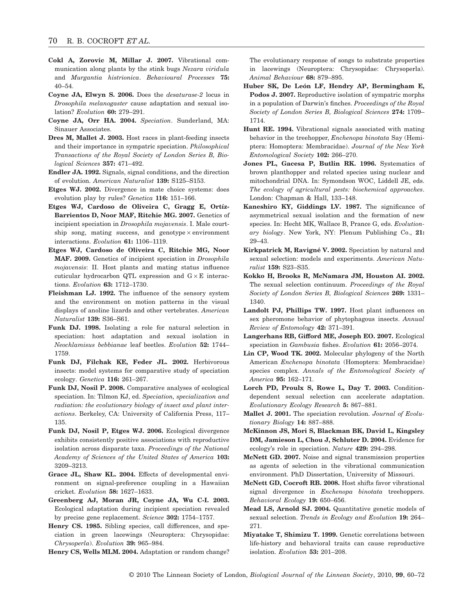- **Cokl A, Zorovic M, Millar J. 2007.** Vibrational communication along plants by the stink bugs *Nezara viridula* and *Murgantia histrionica*. *Behavioural Processes* **75:** 40–54.
- **Coyne JA, Elwyn S. 2006.** Does the *desaturase-2* locus in *Drosophila melanogaster* cause adaptation and sexual isolation? *Evolution* **60:** 279–291.
- **Coyne JA, Orr HA. 2004.** *Speciation*. Sunderland, MA: Sinauer Associates.
- **Dres M, Mallet J. 2003.** Host races in plant-feeding insects and their importance in sympatric speciation. *Philosophical Transactions of the Royal Society of London Series B, Biological Sciences* **357:** 471–492.
- **Endler JA. 1992.** Signals, signal conditions, and the direction of evolution. *American Naturalist* **139:** S125–S153.
- **Etges WJ. 2002.** Divergence in mate choice systems: does evolution play by rules? *Genetica* **116:** 151–166.
- **Etges WJ, Cardoso de Oliveira C, Gragg E, Ortíz-Barrientos D, Noor MAF, Ritchie MG. 2007.** Genetics of incipient speciation in *Drosophila mojavensis*. I. Male courtship song, mating success, and genotype  $\times$  environment interactions. *Evolution* **61:** 1106–1119.
- **Etges WJ, Cardoso de Oliveira C, Ritchie MG, Noor MAF. 2009.** Genetics of incipient speciation in *Drosophila mojavensis*: II. Host plants and mating status influence cuticular hydrocarbon QTL expression and  $G \times E$  interactions. *Evolution* **63:** 1712–1730.
- **Fleishman LJ. 1992.** The influence of the sensory system and the environment on motion patterns in the visual displays of anoline lizards and other vertebrates. *American Naturalist* **139:** S36–S61.
- **Funk DJ. 1998.** Isolating a role for natural selection in speciation: host adaptation and sexual isolation in *Neochlamisus bebbianae* leaf beetles. *Evolution* **52:** 1744– 1759.
- **Funk DJ, Filchak KE, Feder JL. 2002.** Herbivorous insects: model systems for comparative study of speciation ecology. *Genetica* **116:** 261–267.
- **Funk DJ, Nosil P. 2008.** Comparative analyses of ecological speciation. In: Tilmon KJ, ed. *Speciation, specialization and radiation: the evolutionary biology of insect and plant interactions*. Berkeley, CA: University of California Press, 117– 135.
- **Funk DJ, Nosil P, Etges WJ. 2006.** Ecological divergence exhibits consistently positive associations with reproductive isolation across disparate taxa. *Proceedings of the National Academy of Sciences of the United States of America* **103:** 3209–3213.
- **Grace JL, Shaw KL. 2004.** Effects of developmental environment on signal-preference coupling in a Hawaiian cricket. *Evolution* **58:** 1627–1633.
- **Greenberg AJ, Moran JR, Coyne JA, Wu C-I. 2003.** Ecological adaptation during incipient speciation revealed by precise gene replacement. *Science* **302:** 1754–1757.
- **Henry CS. 1985.** Sibling species, call differences, and speciation in green lacewings (Neuroptera: Chrysopidae: *Chrysoperla*). *Evolution* **39:** 965–984.

**Henry CS, Wells MLM. 2004.** Adaptation or random change?

The evolutionary response of songs to substrate properties in lacewings (Neuroptera: Chrysopidae: Chrysoperla). *Animal Behaviour* **68:** 879–895.

- **Huber SK, De León LF, Hendry AP, Bermingham E, Podos J. 2007.** Reproductive isolation of sympatric morphs in a population of Darwin's finches. *Proceedings of the Royal Society of London Series B, Biological Sciences* **274:** 1709– 1714.
- **Hunt RE. 1994.** Vibrational signals associated with mating behavior in the treehopper, *Enchenopa binotata* Say (Hemiptera: Homoptera: Membracidae). *Journal of the New York Entomological Society* **102:** 266–270.
- **Jones PL, Gacesa P, Butlin RK. 1996.** Systematics of brown planthopper and related species using nuclear and mitochondrial DNA. In: Symondson WOC, Liddell JE, eds. *The ecology of agricultural pests: biochemical approaches*. London: Chapman & Hall, 133–148.
- **Kaneshiro KY, Giddings LV. 1987.** The significance of asymmetrical sexual isolation and the formation of new species. In: Hecht MK, Wallace B, Prance G, eds. *Evolutionary biology*. New York, NY: Plenum Publishing Co., **21:** 29–43.
- **Kirkpatrick M, Ravigné V. 2002.** Speciation by natural and sexual selection: models and experiments. *American Naturalist* **159:** S23–S35.
- **Kokko H, Brooks R, McNamara JM, Houston AI. 2002.** The sexual selection continuum. *Proceedings of the Royal Society of London Series B, Biological Sciences* **269:** 1331– 1340.
- **Landolt PJ, Phillips TW. 1997.** Host plant influences on sex pheromone behavior of phytophagous insects. *Annual Review of Entomology* **42:** 371–391.
- **Langerhans RB, Gifford ME, Joseph EO. 2007.** Ecological speciation in *Gambusia* fishes. *Evolution* **61:** 2056–2074.
- **Lin CP, Wood TK. 2002.** Molecular phylogeny of the North American *Enchenopa binotata* (Homoptera: Membracidae) species complex. *Annals of the Entomological Society of America* **95:** 162–171.
- **Lorch PD, Proulx S, Rowe L, Day T. 2003.** Conditiondependent sexual selection can accelerate adaptation. *Evolutionary Ecology Research* **5:** 867–881.
- **Mallet J. 2001.** The speciation revolution. *Journal of Evolutionary Biology* **14:** 887–888.
- **McKinnon JS, Mori S, Blackman BK, David L, Kingsley DM, Jamieson L, Chou J, Schluter D. 2004.** Evidence for ecology's role in speciation. *Nature* **429:** 294–298.
- **McNett GD. 2007.** Noise and signal transmission properties as agents of selection in the vibrational communication environment. PhD Dissertation, University of Missouri.
- **McNett GD, Cocroft RB. 2008.** Host shifts favor vibrational signal divergence in *Enchenopa binotata* treehoppers. *Behavioral Ecology* **19:** 650–656.
- **Mead LS, Arnold SJ. 2004.** Quantitative genetic models of sexual selection. *Trends in Ecology and Evolution* **19:** 264– 271.
- **Miyatake T, Shimizu T. 1999.** Genetic correlations between life-history and behavioral traits can cause reproductive isolation. *Evolution* **53:** 201–208.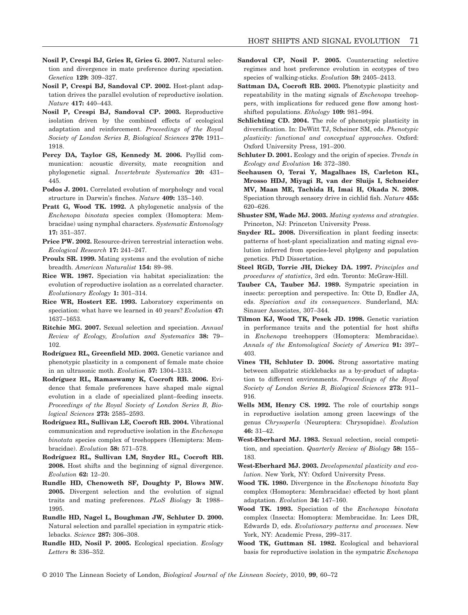- **Nosil P, Crespi BJ, Gries R, Gries G. 2007.** Natural selection and divergence in mate preference during speciation. *Genetica* **129:** 309–327.
- **Nosil P, Crespi BJ, Sandoval CP. 2002.** Host-plant adaptation drives the parallel evolution of reproductive isolation. *Nature* **417:** 440–443.
- **Nosil P, Crespi BJ, Sandoval CP. 2003.** Reproductive isolation driven by the combined effects of ecological adaptation and reinforcement. *Proceedings of the Royal Society of London Series B, Biological Sciences* **270:** 1911– 1918.
- **Percy DA, Taylor GS, Kennedy M. 2006.** Psyllid communication: acoustic diversity, mate recognition and phylogenetic signal. *Invertebrate Systematics* **20:** 431– 445.
- Podos J. 2001. Correlated evolution of morphology and vocal structure in Darwin's finches. *Nature* **409:** 135–140.
- **Pratt G, Wood TK. 1992.** A phylogenetic analysis of the *Enchenopa binotata* species complex (Homoptera: Membracidae) using nymphal characters. *Systematic Entomology* **17:** 351–357.
- Price PW. 2002. Resource-driven terrestrial interaction webs. *Ecological Research* **17:** 241–247.
- **Proulx SR. 1999.** Mating systems and the evolution of niche breadth. *American Naturalist* **154:** 89–98.
- **Rice WR. 1987.** Speciation via habitat specialization: the evolution of reproductive isolation as a correlated character. *Evolutionary Ecology* **1:** 301–314.
- **Rice WR, Hostert EE. 1993.** Laboratory experiments on speciation: what have we learned in 40 years? *Evolution* **47:** 1637–1653.
- **Ritchie MG. 2007.** Sexual selection and speciation. *Annual Review of Ecology, Evolution and Systematics* **38:** 79– 102.
- **Rodríguez RL, Greenfield MD. 2003.** Genetic variance and phenotypic plasticity in a component of female mate choice in an ultrasonic moth. *Evolution* **57:** 1304–1313.
- **Rodríguez RL, Ramaswamy K, Cocroft RB. 2006.** Evidence that female preferences have shaped male signal evolution in a clade of specialized plant–feeding insects. *Proceedings of the Royal Society of London Series B, Biological Sciences* **273:** 2585–2593.
- **Rodríguez RL, Sullivan LE, Cocroft RB. 2004.** Vibrational communication and reproductive isolation in the *Enchenopa binotata* species complex of treehoppers (Hemiptera: Membracidae). *Evolution* **58:** 571–578.
- **Rodríguez RL, Sullivan LM, Snyder RL, Cocroft RB. 2008.** Host shifts and the beginning of signal divergence. *Evolution* **62:** 12–20.
- **Rundle HD, Chenoweth SF, Doughty P, Blows MW. 2005.** Divergent selection and the evolution of signal traits and mating preferences. *PLoS Biology* **3:** 1988– 1995.
- **Rundle HD, Nagel L, Boughman JW, Schluter D. 2000.** Natural selection and parallel speciation in sympatric sticklebacks. *Science* **287:** 306–308.
- **Rundle HD, Nosil P. 2005.** Ecological speciation. *Ecology Letters* **8:** 336–352.
- **Sandoval CP, Nosil P. 2005.** Counteracting selective regimes and host preference evolution in ecotypes of two species of walking-sticks. *Evolution* **59:** 2405–2413.
- **Sattman DA, Cocroft RB. 2003.** Phenotypic plasticity and repeatability in the mating signals of *Enchenopa* treehoppers, with implications for reduced gene flow among hostshifted populations. *Ethology* **109:** 981–994.
- **Schlichting CD. 2004.** The role of phenotypic plasticity in diversification. In: DeWitt TJ, Scheiner SM, eds. *Phenotypic plasticity: functional and conceptual approaches*. Oxford: Oxford University Press, 191–200.
- **Schluter D. 2001.** Ecology and the origin of species. *Trends in Ecology and Evolution* **16:** 372–380.
- **Seehausen O, Terai Y, Magalhaes IS, Carleton KL, Mrosso HDJ, Miyagi R, van der Sluijs I, Schneider MV, Maan ME, Tachida H, Imai H, Okada N. 2008.** Speciation through sensory drive in cichlid fish. *Nature* **455:** 620–626.
- **Shuster SM, Wade MJ. 2003.** *Mating systems and strategies*. Princeton, NJ: Princeton University Press.
- **Snyder RL. 2008.** Diversification in plant feeding insects: patterns of host-plant specialization and mating signal evolution inferred from species-level phylgeny and population genetics. PhD Dissertation.
- **Steel RGD, Torrie JH, Dickey DA. 1997.** *Principles and procedures of statistics*, 3rd edn. Toronto: McGraw-Hill.
- **Tauber CA, Tauber MJ. 1989.** Sympatric speciation in insects: perception and perspective. In: Otte D, Endler JA, eds. *Speciation and its consequences*. Sunderland, MA: Sinauer Associates, 307–344.
- **Tilmon KJ, Wood TK, Pesek JD. 1998.** Genetic variation in performance traits and the potential for host shifts in *Enchenopa* treehoppers (Homoptera: Membracidae). *Annals of the Entomological Society of America* **91:** 397– 403.
- **Vines TH, Schluter D. 2006.** Strong assortative mating between allopatric sticklebacks as a by-product of adaptation to different environments. *Proceedings of the Royal Society of London Series B, Biological Sciences* **273:** 911– 916.
- **Wells MM, Henry CS. 1992.** The role of courtship songs in reproductive isolation among green lacewings of the genus *Chrysoperla* (Neuroptera: Chrysopidae). *Evolution* **46:** 31–42.
- **West-Eberhard MJ. 1983.** Sexual selection, social competition, and speciation. *Quarterly Review of Biology* **58:** 155– 183.
- **West-Eberhard MJ. 2003.** *Developmental plasticity and evolution*. New York, NY: Oxford University Press.
- **Wood TK. 1980.** Divergence in the *Enchenopa binotata* Say complex (Homoptera: Membracidae) effected by host plant adaptation. *Evolution* **34:** 147–160.
- **Wood TK. 1993.** Speciation of the *Enchenopa binotata* complex (Insecta: Homoptera: Membracidae. In: Lees DR, Edwards D, eds. *Evolutionary patterns and processes*. New York, NY: Academic Press, 299–317.
- **Wood TK, Guttman SI. 1982.** Ecological and behavioral basis for reproductive isolation in the sympatric *Enchenopa*